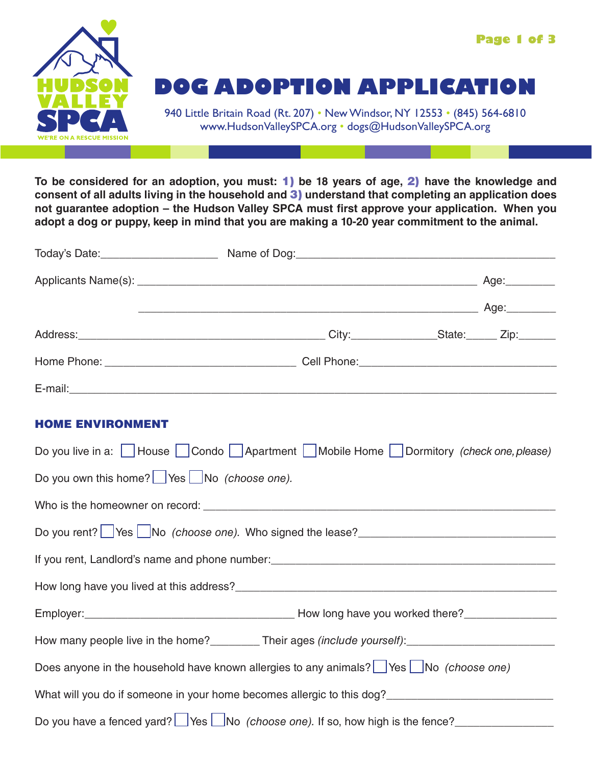

**To be considered for an adoption, you must:** 1) **be 18 years of age,** 2) **have the knowledge and consent of all adults living in the household and** 3) **understand that completing an application does not guarantee adoption – the Hudson Valley SPCA must first approve your application. When you adopt a dog or puppy, keep in mind that you are making a 10-20 year commitment to the animal.** 

|                                                                  | Address: Zip: Zip: City: City: State: Zip:                                                                                                                      |  |
|------------------------------------------------------------------|-----------------------------------------------------------------------------------------------------------------------------------------------------------------|--|
|                                                                  |                                                                                                                                                                 |  |
|                                                                  |                                                                                                                                                                 |  |
| <b>HOME ENVIRONMENT</b>                                          |                                                                                                                                                                 |  |
|                                                                  | Do you live in a: House Condo Apartment Mobile Home Dormitory (check one, please)                                                                               |  |
| Do you own this home? $\Box$ Yes $\Box$ No <i>(choose one)</i> . |                                                                                                                                                                 |  |
|                                                                  |                                                                                                                                                                 |  |
|                                                                  | Do you rent? Yes No (choose one). Who signed the lease?                                                                                                         |  |
|                                                                  | If you rent, Landlord's name and phone number:<br>and the manuscript and the manuscript and the manuscript of the and phone number of the number of the state o |  |
|                                                                  |                                                                                                                                                                 |  |
|                                                                  |                                                                                                                                                                 |  |
|                                                                  |                                                                                                                                                                 |  |
|                                                                  | Does anyone in the household have known allergies to any animals? Ses No (choose one)                                                                           |  |
|                                                                  | What will you do if someone in your home becomes allergic to this dog?______________________________                                                            |  |
|                                                                  | Do you have a fenced yard? $\Box$ Yes $\Box$ No (choose one). If so, how high is the fence?                                                                     |  |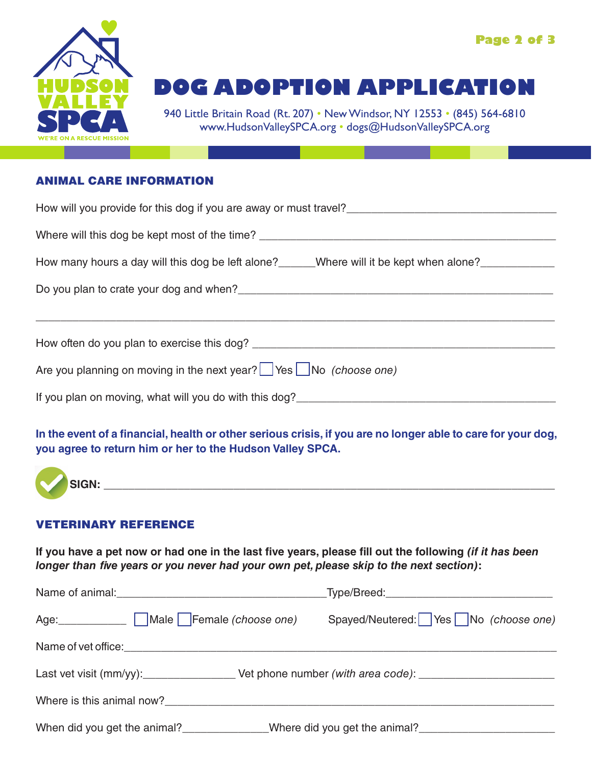

# **DOG ADOPTION APPLICATION**

940 Little Britain Road (Rt. 207) • New Windsor, NY 12553 • (845) 564-6810 www.HudsonValleySPCA.org • dogs@HudsonValleySPCA.org

#### ANIMAL CARE INFORMATION

| Where will this dog be kept most of the time? __________________________________                     |  |  |  |  |
|------------------------------------------------------------------------------------------------------|--|--|--|--|
| How many hours a day will this dog be left alone?______Where will it be kept when alone?____________ |  |  |  |  |
|                                                                                                      |  |  |  |  |
|                                                                                                      |  |  |  |  |
|                                                                                                      |  |  |  |  |
| Are you planning on moving in the next year? Yes No (choose one)                                     |  |  |  |  |
| If you plan on moving, what will you do with this dog?                                               |  |  |  |  |

### **In the event of a financial, health or other serious crisis, if you are no longer able to care for your dog, you agree to return him or her to the Hudson Valley SPCA.**



#### VETERINARY REFERENCE

**If you have a pet now or had one in the last five years, please fill out the following** *(if it has been longer than five years or you never had your own pet, please skip to the next section)***:**

|                                                                                                      | _Type/Breed:_________________________________ |
|------------------------------------------------------------------------------------------------------|-----------------------------------------------|
| Age: Nale   Female (choose one)                                                                      | Spayed/Neutered:   Yes   No (choose one)      |
|                                                                                                      |                                               |
| Last vet visit (mm/yy):_____________________Vet phone number (with area code): _____________________ |                                               |
| Where is this animal now?                                                                            |                                               |
|                                                                                                      |                                               |